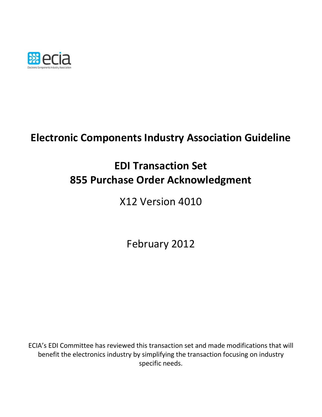

# **Electronic Components Industry Association Guideline**

# **EDI Transaction Set 855 Purchase Order Acknowledgment**

X12 Version 4010

February 2012

ECIA's EDI Committee has reviewed this transaction set and made modifications that will benefit the electronics industry by simplifying the transaction focusing on industry specific needs.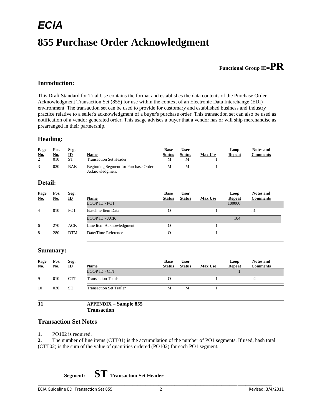## **855 Purchase Order Acknowledgment**

 $\_$  , and the set of the set of the set of the set of the set of the set of the set of the set of the set of the set of the set of the set of the set of the set of the set of the set of the set of the set of the set of th

## **Functional Group ID=PR**

#### **Introduction:**

This Draft Standard for Trial Use contains the format and establishes the data contents of the Purchase Order Acknowledgment Transaction Set (855) for use within the context of an Electronic Data Interchange (EDI) environment. The transaction set can be used to provide for customary and established business and industry practice relative to a seller's acknowledgment of a buyer's purchase order. This transaction set can also be used as notification of a vendor generated order. This usage advises a buyer that a vendor has or will ship merchandise as prearranged in their partnership.

#### **Heading:**

| Page<br><u>No.</u><br>2 | Pos.<br><u>No.</u><br>010 | Seg.<br>$\underline{\mathbf{ID}}$<br><b>ST</b> | Name<br><b>Transaction Set Header</b>                  | <b>Base</b><br><b>Status</b><br>M | <b>User</b><br><b>Status</b><br>M | <b>Max.Use</b> | Loop<br><b>Repeat</b> | <b>Notes and</b><br><b>Comments</b> |
|-------------------------|---------------------------|------------------------------------------------|--------------------------------------------------------|-----------------------------------|-----------------------------------|----------------|-----------------------|-------------------------------------|
| 3                       | 020                       | BAK                                            | Beginning Segment for Purchase Order<br>Acknowledgment | M                                 | M                                 |                |                       |                                     |
| Detail:                 |                           |                                                |                                                        |                                   |                                   |                |                       |                                     |

| Page           | Pos.       | Seg.            |                          | <b>Base</b>   | <b>User</b>   |                | Loop          | <b>Notes and</b> |
|----------------|------------|-----------------|--------------------------|---------------|---------------|----------------|---------------|------------------|
| <u>No.</u>     | <b>No.</b> | $\mathbf{D}$    | <u>Name</u>              | <b>Status</b> | <b>Status</b> | <b>Max.Use</b> | <b>Repeat</b> | <b>Comments</b>  |
|                |            |                 | LOOP ID - PO1            |               |               |                | 100000        |                  |
| $\overline{4}$ | 010        | PO <sub>1</sub> | Baseline Item Data       | O             |               |                |               | n1               |
|                |            |                 | <b>LOOP ID - ACK</b>     |               |               |                | 104           |                  |
| 6              | 270        | <b>ACK</b>      | Line Item Acknowledgment | О             |               |                |               |                  |
| 8              | 280        | <b>DTM</b>      | Date/Time Reference      | О             |               |                |               |                  |

#### **Summary:**

| Page<br>No. | Pos.<br><u>No.</u> | Seg.<br>$\mathbf{D}$ | Name                           | <b>Base</b><br><b>Status</b> | <b>User</b><br><b>Status</b> | Max.Use | Loop<br><b>Repeat</b> | <b>Notes and</b><br><b>Comments</b> |
|-------------|--------------------|----------------------|--------------------------------|------------------------------|------------------------------|---------|-----------------------|-------------------------------------|
|             |                    |                      | LOOP ID - CTT                  |                              |                              |         |                       |                                     |
| 9           | 010                | <b>CTT</b>           | <b>Transaction Totals</b>      | 0                            |                              |         |                       | n2                                  |
| 10          | 030                | <b>SE</b>            | <b>Transaction Set Trailer</b> | М                            | M                            |         |                       |                                     |
|             |                    |                      |                                |                              |                              |         |                       |                                     |

| 11 | $-$ Sample 855<br><b>DDEMINIV</b> |
|----|-----------------------------------|
|    |                                   |
|    |                                   |

#### **Transaction Set Notes**

**1.** PO102 is required.

**2.** The number of line items (CTT01) is the accumulation of the number of PO1 segments. If used, hash total (CTT02) is the sum of the value of quantities ordered (PO102) for each PO1 segment.

**Segment: ST Transaction Set Header**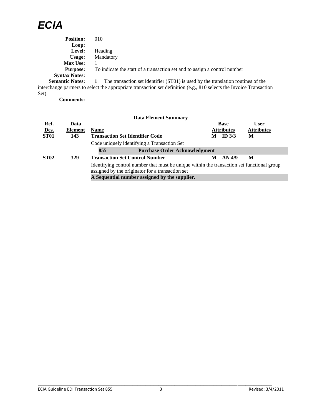## *ECIA*  $\_$  , and the set of the set of the set of the set of the set of the set of the set of the set of the set of the set of the set of the set of the set of the set of the set of the set of the set of the set of the set of th

| <b>Position:</b>       | 010                                                                              |
|------------------------|----------------------------------------------------------------------------------|
| Loop:                  |                                                                                  |
| Level:                 | Heading                                                                          |
| Usage:                 | Mandatory                                                                        |
| <b>Max Use:</b>        |                                                                                  |
| <b>Purpose:</b>        | To indicate the start of a transaction set and to assign a control number        |
| <b>Syntax Notes:</b>   |                                                                                  |
| <b>Semantic Notes:</b> | The transaction set identifier (ST01) is used by the translation routines of the |

interchange partners to select the appropriate transaction set definition (e.g., 810 selects the Invoice Transaction Set).

**Comments:**

|             |                |                                        | <b>Data Element Summary</b>                                                                                                                    |   |                   |                   |
|-------------|----------------|----------------------------------------|------------------------------------------------------------------------------------------------------------------------------------------------|---|-------------------|-------------------|
| Ref.        | Data           |                                        |                                                                                                                                                |   | <b>Base</b>       | <b>User</b>       |
| Des.        | <b>Element</b> | <b>Name</b>                            |                                                                                                                                                |   | <b>Attributes</b> | <b>Attributes</b> |
| <b>ST01</b> | 143            | <b>Transaction Set Identifier Code</b> |                                                                                                                                                |   | ID $3/3$          | М                 |
|             |                |                                        | Code uniquely identifying a Transaction Set                                                                                                    |   |                   |                   |
|             |                | 855                                    | <b>Purchase Order Acknowledgment</b>                                                                                                           |   |                   |                   |
| <b>ST02</b> | 329            |                                        | <b>Transaction Set Control Number</b>                                                                                                          | М | AN 4/9            | M                 |
|             |                |                                        | Identifying control number that must be unique within the transaction set functional group<br>assigned by the originator for a transaction set |   |                   |                   |
|             |                |                                        | A Sequential number assigned by the supplier.                                                                                                  |   |                   |                   |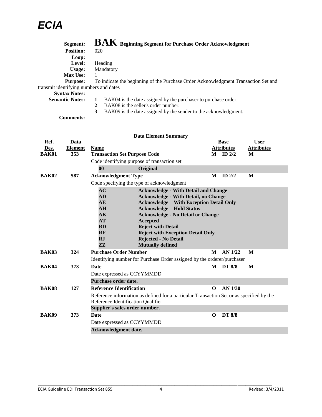| Segment:                               | $\mathbf{BAK}$ Beginning Segment for Purchase Order Acknowledgment                 |
|----------------------------------------|------------------------------------------------------------------------------------|
| <b>Position:</b>                       | 020                                                                                |
| Loop:                                  |                                                                                    |
| Level:                                 | Heading                                                                            |
| Usage:                                 | Mandatory                                                                          |
| <b>Max Use:</b>                        |                                                                                    |
| <b>Purpose:</b>                        | To indicate the beginning of the Purchase Order Acknowledgment Transaction Set and |
| transmit identifying numbers and dates |                                                                                    |
| <b>Syntax Notes:</b>                   |                                                                                    |
| <b>Semantic Notes:</b>                 | BAK04 is the date assigned by the purchaser to purchase order.                     |

- **2** BAK08 is the seller's order number.
- **3** BAK09 is the date assigned by the sender to the acknowledgment.

**Comments:**

| <b>User</b><br><b>Attributes</b>                                                      | M<br>M                                                                  | <b>Base</b><br><b>Attributes</b><br>$M$ ID $2/2$<br>$ID$ 2/2<br>M |                                                                                          | <b>Name</b><br><b>Transaction Set Purpose Code</b><br>Code identifying purpose of transaction set<br>$\bf{00}$ | Data<br><b>Element</b><br>353 | Ref.<br>Des.<br><b>BAK01</b> |  |  |
|---------------------------------------------------------------------------------------|-------------------------------------------------------------------------|-------------------------------------------------------------------|------------------------------------------------------------------------------------------|----------------------------------------------------------------------------------------------------------------|-------------------------------|------------------------------|--|--|
|                                                                                       |                                                                         |                                                                   |                                                                                          |                                                                                                                |                               |                              |  |  |
|                                                                                       |                                                                         |                                                                   |                                                                                          |                                                                                                                |                               |                              |  |  |
|                                                                                       |                                                                         |                                                                   |                                                                                          |                                                                                                                |                               |                              |  |  |
|                                                                                       |                                                                         |                                                                   |                                                                                          |                                                                                                                |                               |                              |  |  |
|                                                                                       |                                                                         |                                                                   |                                                                                          |                                                                                                                |                               |                              |  |  |
|                                                                                       |                                                                         |                                                                   |                                                                                          | <b>Acknowledgment Type</b>                                                                                     | 587                           | BAK02                        |  |  |
|                                                                                       |                                                                         |                                                                   |                                                                                          | Code specifying the type of acknowledgment                                                                     |                               |                              |  |  |
|                                                                                       |                                                                         |                                                                   | <b>Acknowledge - With Detail and Change</b>                                              | AC                                                                                                             |                               |                              |  |  |
|                                                                                       |                                                                         |                                                                   | <b>Acknowledge - With Detail, no Change</b>                                              | <b>AD</b>                                                                                                      |                               |                              |  |  |
|                                                                                       |                                                                         |                                                                   | <b>Acknowledge - With Exception Detail Only</b>                                          | AE                                                                                                             |                               |                              |  |  |
|                                                                                       |                                                                         |                                                                   | <b>Acknowledge - Hold Status</b>                                                         | ${\bf AH}$                                                                                                     |                               |                              |  |  |
| $\mathbf{A}\mathbf{K}$<br><b>Acknowledge - No Detail or Change</b><br><b>Accepted</b> |                                                                         |                                                                   |                                                                                          |                                                                                                                |                               |                              |  |  |
|                                                                                       |                                                                         |                                                                   |                                                                                          |                                                                                                                |                               |                              |  |  |
| ${\bf RF}$<br><b>Reject with Exception Detail Only</b>                                |                                                                         |                                                                   |                                                                                          |                                                                                                                |                               |                              |  |  |
|                                                                                       |                                                                         |                                                                   |                                                                                          |                                                                                                                |                               |                              |  |  |
|                                                                                       |                                                                         |                                                                   | <b>Mutually defined</b>                                                                  | ZZ                                                                                                             |                               |                              |  |  |
|                                                                                       | AN 1/22<br>M                                                            | M                                                                 |                                                                                          | <b>Purchase Order Number</b>                                                                                   |                               |                              |  |  |
|                                                                                       | Identifying number for Purchase Order assigned by the orderer/purchaser |                                                                   |                                                                                          |                                                                                                                | 324                           | <b>BAK03</b>                 |  |  |
|                                                                                       |                                                                         |                                                                   |                                                                                          |                                                                                                                |                               |                              |  |  |
|                                                                                       | M                                                                       | <b>DT 8/8</b><br>M                                                |                                                                                          | <b>Date</b>                                                                                                    | 373                           | <b>BAK04</b>                 |  |  |
|                                                                                       |                                                                         |                                                                   |                                                                                          | Date expressed as CCYYMMDD                                                                                     |                               |                              |  |  |
|                                                                                       |                                                                         |                                                                   |                                                                                          | Purchase order date.                                                                                           |                               |                              |  |  |
|                                                                                       | AN 1/30                                                                 | $\Omega$                                                          |                                                                                          | <b>Reference Identification</b>                                                                                | 127                           | <b>BAK08</b>                 |  |  |
|                                                                                       |                                                                         |                                                                   | Reference information as defined for a particular Transaction Set or as specified by the |                                                                                                                |                               |                              |  |  |
|                                                                                       |                                                                         |                                                                   |                                                                                          | Reference Identification Qualifier                                                                             |                               |                              |  |  |
|                                                                                       |                                                                         |                                                                   |                                                                                          | Supplier's sales order number.                                                                                 |                               |                              |  |  |
|                                                                                       |                                                                         | <b>DT 8/8</b><br>$\Omega$                                         |                                                                                          | <b>Date</b>                                                                                                    | 373                           | <b>BAK09</b>                 |  |  |
|                                                                                       |                                                                         |                                                                   |                                                                                          | Date expressed as CCYYMMDD                                                                                     |                               |                              |  |  |
|                                                                                       |                                                                         |                                                                   | <b>Reject with Detail</b><br><b>Rejected - No Detail</b>                                 | AT<br>$\mathbf{R} \mathbf{D}$<br><b>RJ</b>                                                                     |                               |                              |  |  |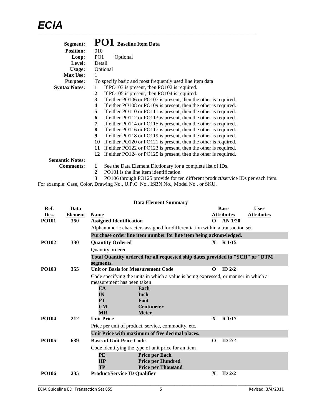| Segment:               | PO1<br><b>Baseline Item Data</b>                                                      |
|------------------------|---------------------------------------------------------------------------------------|
| <b>Position:</b>       | 010                                                                                   |
| Loop:                  | PO <sub>1</sub><br>Optional                                                           |
| Level:                 | Detail                                                                                |
| Usage:                 | Optional                                                                              |
| <b>Max Use:</b>        | 1                                                                                     |
| <b>Purpose:</b>        | To specify basic and most frequently used line item data                              |
| <b>Syntax Notes:</b>   | If PO103 is present, then PO102 is required.<br>1                                     |
|                        | If PO105 is present, then PO104 is required.<br>2                                     |
|                        | 3<br>If either PO106 or PO107 is present, then the other is required.                 |
|                        | If either PO108 or PO109 is present, then the other is required.<br>4                 |
|                        | 5<br>If either PO110 or PO111 is present, then the other is required.                 |
|                        | If either PO112 or PO113 is present, then the other is required.<br>6                 |
|                        | If either PO114 or PO115 is present, then the other is required.<br>7                 |
|                        | 8<br>If either PO116 or PO117 is present, then the other is required.                 |
|                        | 9<br>If either PO118 or PO119 is present, then the other is required.                 |
|                        | If either PO120 or PO121 is present, then the other is required.<br>10                |
|                        | If either PO122 or PO123 is present, then the other is required.<br>11                |
|                        | If either PO124 or PO125 is present, then the other is required.<br>12                |
| <b>Semantic Notes:</b> |                                                                                       |
| <b>Comments:</b>       | See the Data Element Dictionary for a complete list of IDs.<br>1                      |
|                        | 2<br>PO101 is the line item identification.                                           |
|                        | 3<br>PO106 through PO125 provide for ten different product/service IDs per each item. |

For example: Case, Color, Drawing No., U.P.C. No., ISBN No., Model No., or SKU.

|              |                |                                                                                             | <b>Data Element Summary</b>                                                   |              |                   |                   |
|--------------|----------------|---------------------------------------------------------------------------------------------|-------------------------------------------------------------------------------|--------------|-------------------|-------------------|
| Ref.         | Data           |                                                                                             |                                                                               |              | <b>Base</b>       | <b>User</b>       |
| Des.         | <b>Element</b> | <b>Name</b>                                                                                 |                                                                               |              | <b>Attributes</b> | <b>Attributes</b> |
| <b>PO101</b> | 350            | <b>Assigned Identification</b>                                                              |                                                                               | $\Omega$     | $AN$ 1/20         |                   |
|              |                |                                                                                             | Alphanumeric characters assigned for differentiation within a transaction set |              |                   |                   |
|              |                |                                                                                             | Purchase order line item number for line item being acknowledged.             |              |                   |                   |
| <b>PO102</b> | 330            | <b>Quantity Ordered</b>                                                                     |                                                                               | $\mathbf{x}$ | R 1/15            |                   |
|              |                | Quantity ordered                                                                            |                                                                               |              |                   |                   |
|              |                | Total Quantity ordered for all requested ship dates provided in "SCH" or "DTM"<br>segments. |                                                                               |              |                   |                   |
| <b>PO103</b> | 355            | <b>Unit or Basis for Measurement Code</b>                                                   |                                                                               | $\Omega$     | $ID$ $2/2$        |                   |
|              |                | Code specifying the units in which a value is being expressed, or manner in which a         |                                                                               |              |                   |                   |
|              |                | measurement has been taken                                                                  |                                                                               |              |                   |                   |
|              |                | EA                                                                                          | Each                                                                          |              |                   |                   |
|              |                | IN                                                                                          | Inch                                                                          |              |                   |                   |
|              |                | FT)                                                                                         | Foot                                                                          |              |                   |                   |
|              |                | CM                                                                                          | <b>Centimeter</b>                                                             |              |                   |                   |
| <b>PO104</b> | 212            | $\overline{\textbf{MR}}$<br><b>Unit Price</b>                                               | <b>Meter</b>                                                                  | $\mathbf{X}$ | <b>R</b> 1/17     |                   |
|              |                |                                                                                             |                                                                               |              |                   |                   |
|              |                | Price per unit of product, service, commodity, etc.                                         |                                                                               |              |                   |                   |
|              |                |                                                                                             | Unit Price with maximum of five decimal places.                               |              |                   |                   |
| <b>PO105</b> | 639            | <b>Basis of Unit Price Code</b>                                                             |                                                                               | $\Omega$     | $ID$ $2/2$        |                   |
|              |                |                                                                                             | Code identifying the type of unit price for an item                           |              |                   |                   |
|              |                | PE                                                                                          | <b>Price per Each</b>                                                         |              |                   |                   |
|              |                | HP                                                                                          | <b>Price per Hundred</b>                                                      |              |                   |                   |
|              |                | TP                                                                                          | <b>Price per Thousand</b>                                                     |              |                   |                   |
| <b>PO106</b> | 235            | <b>Product/Service ID Qualifier</b>                                                         |                                                                               | X            | ID $2/2$          |                   |
|              |                |                                                                                             |                                                                               |              |                   |                   |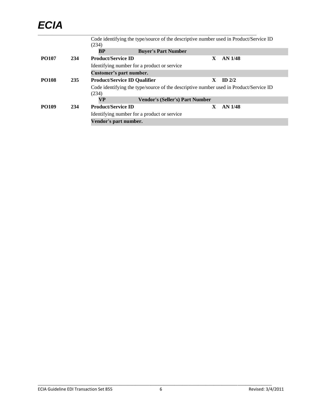## *ECIA*  $\_$  , and the set of the set of the set of the set of the set of the set of the set of the set of the set of the set of the set of the set of the set of the set of the set of the set of the set of the set of the set of th

|              |     |                                             | Code identifying the type/source of the descriptive number used in Product/Service ID |    |                    |  |
|--------------|-----|---------------------------------------------|---------------------------------------------------------------------------------------|----|--------------------|--|
|              |     | (234)                                       |                                                                                       |    |                    |  |
|              |     | BP                                          | <b>Buyer's Part Number</b>                                                            |    |                    |  |
| <b>PO107</b> | 234 | <b>Product/Service ID</b>                   |                                                                                       | X  | AN <sub>1/48</sub> |  |
|              |     | Identifying number for a product or service |                                                                                       |    |                    |  |
|              |     | Customer's part number.                     |                                                                                       |    |                    |  |
| <b>PO108</b> | 235 | <b>Product/Service ID Qualifier</b>         |                                                                                       | X. | ID $2/2$           |  |
|              |     | (234)                                       | Code identifying the type/source of the descriptive number used in Product/Service ID |    |                    |  |
|              |     | <b>VP</b>                                   | <b>Vendor's (Seller's) Part Number</b>                                                |    |                    |  |
| <b>PO109</b> | 234 | <b>Product/Service ID</b>                   |                                                                                       | X  | AN 1/48            |  |
|              |     |                                             | Identifying number for a product or service                                           |    |                    |  |
|              |     | Vendor's part number.                       |                                                                                       |    |                    |  |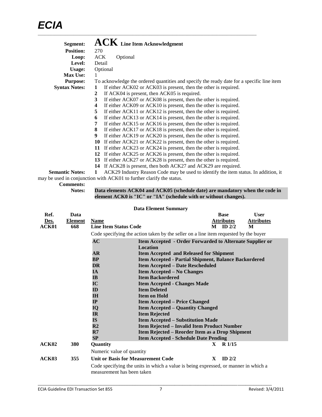| Segment:               | $\mathbf{ACK}\,$ Line Item Acknowledgment                                                 |
|------------------------|-------------------------------------------------------------------------------------------|
| <b>Position:</b>       | 270                                                                                       |
| Loop:                  | <b>ACK</b><br>Optional                                                                    |
| Level:                 | Detail                                                                                    |
| <b>Usage:</b>          | Optional                                                                                  |
| <b>Max Use:</b>        | 1                                                                                         |
| <b>Purpose:</b>        | To acknowledge the ordered quantities and specify the ready date for a specific line item |
| <b>Syntax Notes:</b>   | If either ACK02 or ACK03 is present, then the other is required.<br>1                     |
|                        | If ACK04 is present, then ACK05 is required.<br>2                                         |
|                        | If either ACK07 or ACK08 is present, then the other is required.<br>3                     |
|                        | If either ACK09 or ACK10 is present, then the other is required.<br>4                     |
|                        | 5<br>If either ACK11 or ACK12 is present, then the other is required.                     |
|                        | If either ACK13 or ACK14 is present, then the other is required.<br>6                     |
|                        | If either ACK15 or ACK16 is present, then the other is required.<br>7                     |
|                        | If either ACK17 or ACK18 is present, then the other is required.<br>8                     |
|                        | If either ACK19 or ACK20 is present, then the other is required.<br>9                     |
|                        | 10 If either ACK21 or ACK22 is present, then the other is required.                       |
|                        | If either ACK23 or ACK24 is present, then the other is required.<br>11                    |
|                        | 12 If either ACK25 or ACK26 is present, then the other is required.                       |
|                        | 13 If either ACK27 or ACK28 is present, then the other is required.                       |
|                        | If ACK28 is present, then both ACK27 and ACK29 are required.<br>14                        |
| <b>Semantic Notes:</b> | ACK29 Industry Reason Code may be used to identify the item status. In addition, it<br>1  |
|                        |                                                                                           |

may be used in conjunction with ACK01 to further clarify the status.

**Comments:**

Data elements ACK04 and ACK05 (schedule date) are mandatory when the code in **element ACK0 is "IC" or "IA" (schedule with or without changes).**

|                                                                                   |                                                      |                                                                                             | <b>Data Element Summary</b>                                                          |              |                   |                   |  |  |
|-----------------------------------------------------------------------------------|------------------------------------------------------|---------------------------------------------------------------------------------------------|--------------------------------------------------------------------------------------|--------------|-------------------|-------------------|--|--|
| Ref.                                                                              | Data                                                 |                                                                                             |                                                                                      |              | <b>Base</b>       | <b>User</b>       |  |  |
| Des.                                                                              | Element                                              | <b>Name</b>                                                                                 |                                                                                      |              | <b>Attributes</b> | <b>Attributes</b> |  |  |
| ACK01                                                                             | 668                                                  | <b>Line Item Status Code</b>                                                                |                                                                                      |              | $M$ ID 2/2        | M                 |  |  |
|                                                                                   |                                                      |                                                                                             | Code specifying the action taken by the seller on a line item requested by the buyer |              |                   |                   |  |  |
| AC<br>Item Accepted - Order Forwarded to Alternate Supplier or<br><b>Location</b> |                                                      |                                                                                             |                                                                                      |              |                   |                   |  |  |
|                                                                                   |                                                      | AR                                                                                          | <b>Item Accepted and Released for Shipment</b>                                       |              |                   |                   |  |  |
| BP<br>Item Accepted - Partial Shipment, Balance Backordered                       |                                                      |                                                                                             |                                                                                      |              |                   |                   |  |  |
|                                                                                   | <b>DR</b><br><b>Item Accepted - Date Rescheduled</b> |                                                                                             |                                                                                      |              |                   |                   |  |  |
|                                                                                   |                                                      | <b>IA</b>                                                                                   | <b>Item Accepted – No Changes</b>                                                    |              |                   |                   |  |  |
|                                                                                   |                                                      | $\mathbf{IB}$<br><b>Item Backordered</b>                                                    |                                                                                      |              |                   |                   |  |  |
|                                                                                   |                                                      | IC<br><b>Item Accepted - Changes Made</b>                                                   |                                                                                      |              |                   |                   |  |  |
|                                                                                   |                                                      | ID                                                                                          | <b>Item Deleted</b>                                                                  |              |                   |                   |  |  |
|                                                                                   |                                                      | <b>IH</b>                                                                                   | <b>Item on Hold</b>                                                                  |              |                   |                   |  |  |
|                                                                                   |                                                      | IP<br><b>Item Accepted – Price Changed</b><br>IQ<br><b>Item Accepted – Quantity Changed</b> |                                                                                      |              |                   |                   |  |  |
|                                                                                   |                                                      |                                                                                             |                                                                                      |              |                   |                   |  |  |
|                                                                                   |                                                      | IR                                                                                          | <b>Item Rejected</b><br><b>Item Accepted - Substitution Made</b>                     |              |                   |                   |  |  |
|                                                                                   |                                                      | <b>IS</b>                                                                                   |                                                                                      |              |                   |                   |  |  |
|                                                                                   |                                                      | R <sub>2</sub>                                                                              | Item Rejected - Invalid Item Product Number                                          |              |                   |                   |  |  |
|                                                                                   |                                                      | R7                                                                                          | Item Rejected – Reorder Item as a Drop Shipment                                      |              |                   |                   |  |  |
|                                                                                   |                                                      | <b>SP</b>                                                                                   | <b>Item Accepted - Schedule Date Pending</b>                                         |              |                   |                   |  |  |
| ACK02                                                                             | 380                                                  | Quantity                                                                                    |                                                                                      | $\mathbf{X}$ | R <sub>1/15</sub> |                   |  |  |
|                                                                                   |                                                      | Numeric value of quantity                                                                   |                                                                                      |              |                   |                   |  |  |
| ACK03                                                                             | 355                                                  | Unit or Basis for Measurement Code                                                          |                                                                                      | $\mathbf{X}$ | $ID$ 2/2          |                   |  |  |
|                                                                                   |                                                      | measurement has been taken                                                                  | Code specifying the units in which a value is being expressed, or manner in which a  |              |                   |                   |  |  |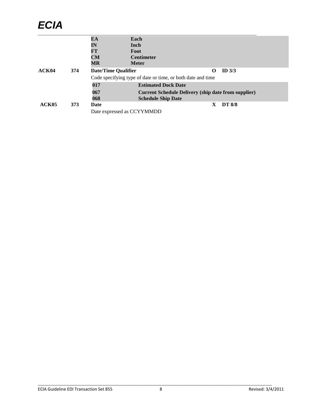# *ECIA*

|       |     | EA                         | Each                                                        |   |               |  |
|-------|-----|----------------------------|-------------------------------------------------------------|---|---------------|--|
|       |     | IN                         | Inch                                                        |   |               |  |
|       |     | FT                         | Foot                                                        |   |               |  |
|       |     | CM                         | <b>Centimeter</b>                                           |   |               |  |
|       |     | $\overline{\text{MR}}$     | <b>Meter</b>                                                |   |               |  |
| ACK04 | 374 | <b>Date/Time Qualifier</b> |                                                             | O | ID $3/3$      |  |
|       |     |                            | Code specifying type of date or time, or both date and time |   |               |  |
|       |     | 017                        | <b>Estimated Dock Date</b>                                  |   |               |  |
|       |     | 067                        | <b>Current Schedule Delivery (ship date from supplier)</b>  |   |               |  |
|       |     | 068                        | <b>Schedule Ship Date</b>                                   |   |               |  |
| ACK05 | 373 | Date                       |                                                             | X | <b>DT 8/8</b> |  |
|       |     |                            | Date expressed as CCYYMMDD                                  |   |               |  |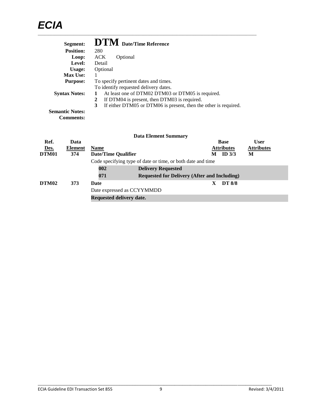|       | Segment:               |             |                            | <b>DTM</b> Date/Time Reference               |                                                                  |                   |                   |
|-------|------------------------|-------------|----------------------------|----------------------------------------------|------------------------------------------------------------------|-------------------|-------------------|
|       | <b>Position:</b>       | 280         |                            |                                              |                                                                  |                   |                   |
|       | Loop:                  | <b>ACK</b>  | Optional                   |                                              |                                                                  |                   |                   |
|       | Level:                 | Detail      |                            |                                              |                                                                  |                   |                   |
|       | Usage:                 | Optional    |                            |                                              |                                                                  |                   |                   |
|       | <b>Max Use:</b>        | 1           |                            |                                              |                                                                  |                   |                   |
|       | <b>Purpose:</b>        |             |                            | To specify pertinent dates and times.        |                                                                  |                   |                   |
|       |                        |             |                            | To identify requested delivery dates.        |                                                                  |                   |                   |
|       | <b>Syntax Notes:</b>   | 1           |                            |                                              | At least one of DTM02 DTM03 or DTM05 is required.                |                   |                   |
|       |                        | 2           |                            | If DTM04 is present, then DTM03 is required. |                                                                  |                   |                   |
|       |                        | 3           |                            |                                              | If either DTM05 or DTM06 is present, then the other is required. |                   |                   |
|       | <b>Semantic Notes:</b> |             |                            |                                              |                                                                  |                   |                   |
|       | <b>Comments:</b>       |             |                            |                                              |                                                                  |                   |                   |
|       |                        |             |                            |                                              |                                                                  |                   |                   |
|       |                        |             |                            | <b>Data Element Summary</b>                  |                                                                  |                   |                   |
| Ref.  | Data                   |             |                            |                                              |                                                                  | <b>Base</b>       | <b>User</b>       |
| Des.  | <b>Element</b>         | <b>Name</b> |                            |                                              |                                                                  | <b>Attributes</b> | <b>Attributes</b> |
| DTM01 | 374                    |             | <b>Date/Time Qualifier</b> |                                              |                                                                  | ID $3/3$<br>M     | M                 |

|       |     |                          | Code specifying type of date or time, or both date and time |
|-------|-----|--------------------------|-------------------------------------------------------------|
|       |     | 002                      | <b>Delivery Requested</b>                                   |
|       |     | 071                      | <b>Requested for Delivery (After and Including)</b>         |
| DTM02 | 373 | <b>Date</b>              | <b>DT 8/8</b>                                               |
|       |     |                          | Date expressed as CCYYMMDD                                  |
|       |     | Requested delivery date. |                                                             |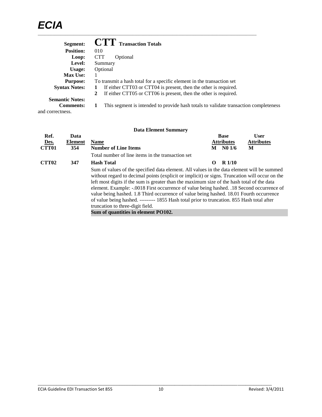| Segment:               | <b>CTT</b> Transaction Totals                                                        |
|------------------------|--------------------------------------------------------------------------------------|
| <b>Position:</b>       | 010                                                                                  |
| Loop:                  | <b>CTT</b><br>Optional                                                               |
| Level:                 | Summary                                                                              |
| Usage:                 | Optional                                                                             |
| <b>Max Use:</b>        |                                                                                      |
| <b>Purpose:</b>        | To transmit a hash total for a specific element in the transaction set               |
| <b>Syntax Notes:</b>   | If either CTT03 or CTT04 is present, then the other is required.                     |
|                        | If either CTT05 or CTT06 is present, then the other is required.<br>2                |
| <b>Semantic Notes:</b> |                                                                                      |
| <b>Comments:</b>       | This segment is intended to provide hash totals to validate transaction completeness |
| and correctness.       |                                                                                      |

| <b>Data Element Summary</b> |  |
|-----------------------------|--|
|-----------------------------|--|

| Ref.              | Data    |                                                                                                                                                                                                                                                                                                                                                                                                                                                                                                                                                                                                                                                             |          | <b>Base</b>       | <b>User</b>       |
|-------------------|---------|-------------------------------------------------------------------------------------------------------------------------------------------------------------------------------------------------------------------------------------------------------------------------------------------------------------------------------------------------------------------------------------------------------------------------------------------------------------------------------------------------------------------------------------------------------------------------------------------------------------------------------------------------------------|----------|-------------------|-------------------|
| Des.              | Element | <b>Name</b>                                                                                                                                                                                                                                                                                                                                                                                                                                                                                                                                                                                                                                                 |          | <b>Attributes</b> | <b>Attributes</b> |
| <b>CTT01</b>      | 354     | <b>Number of Line Items</b>                                                                                                                                                                                                                                                                                                                                                                                                                                                                                                                                                                                                                                 | M        | N01/6             | М                 |
|                   |         | Total number of line items in the transaction set                                                                                                                                                                                                                                                                                                                                                                                                                                                                                                                                                                                                           |          |                   |                   |
| CTT <sub>02</sub> | 347     | <b>Hash Total</b>                                                                                                                                                                                                                                                                                                                                                                                                                                                                                                                                                                                                                                           | $\Omega$ | R <sub>1/10</sub> |                   |
|                   |         | Sum of values of the specified data element. All values in the data element will be summed<br>without regard to decimal points (explicit or implicit) or signs. Truncation will occur on the<br>left most digits if the sum is greater than the maximum size of the hash total of the data<br>element. Example: -.0018 First occurrence of value being hashed. .18 Second occurrence of<br>value being hashed. 1.8 Third occurrence of value being hashed. 18.01 Fourth occurrence<br>of value being hashed. --------- 1855 Hash total prior to truncation. 855 Hash total after<br>truncation to three-digit field.<br>Sum of quantities in element PO102. |          |                   |                   |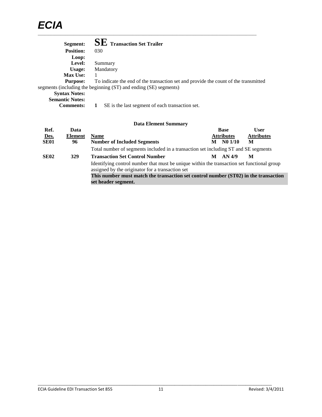| Segment:               | <b>SE</b> Transaction Set Trailer                                                   |
|------------------------|-------------------------------------------------------------------------------------|
| <b>Position:</b>       | 030                                                                                 |
| Loop:                  |                                                                                     |
| Level:                 | Summary                                                                             |
| Usage:                 | Mandatory                                                                           |
| <b>Max Use:</b>        |                                                                                     |
| <b>Purpose:</b>        | To indicate the end of the transaction set and provide the count of the transmitted |
|                        | segments (including the beginning (ST) and ending (SE) segments)                    |
| <b>Syntax Notes:</b>   |                                                                                     |
| <b>Semantic Notes:</b> |                                                                                     |
| <b>Comments:</b>       | SE is the last segment of each transaction set.                                     |

|             |                | <b>Data Element Summary</b>                                                                                                                    |                   |             |                   |
|-------------|----------------|------------------------------------------------------------------------------------------------------------------------------------------------|-------------------|-------------|-------------------|
| Ref.        | Data           |                                                                                                                                                |                   | <b>Base</b> | <b>User</b>       |
| Des.        | <b>Element</b> | <b>Name</b>                                                                                                                                    | <b>Attributes</b> |             | <b>Attributes</b> |
| <b>SE01</b> | 96             | <b>Number of Included Segments</b>                                                                                                             | M                 | N01/10      | M                 |
|             |                | Total number of segments included in a transaction set including ST and SE segments                                                            |                   |             |                   |
| <b>SE02</b> | 329            | <b>Transaction Set Control Number</b>                                                                                                          | М                 | AN 4/9      | M                 |
|             |                | Identifying control number that must be unique within the transaction set functional group<br>assigned by the originator for a transaction set |                   |             |                   |
|             |                | This number must match the transaction set control number (ST02) in the transaction                                                            |                   |             |                   |
|             |                | set header segment.                                                                                                                            |                   |             |                   |